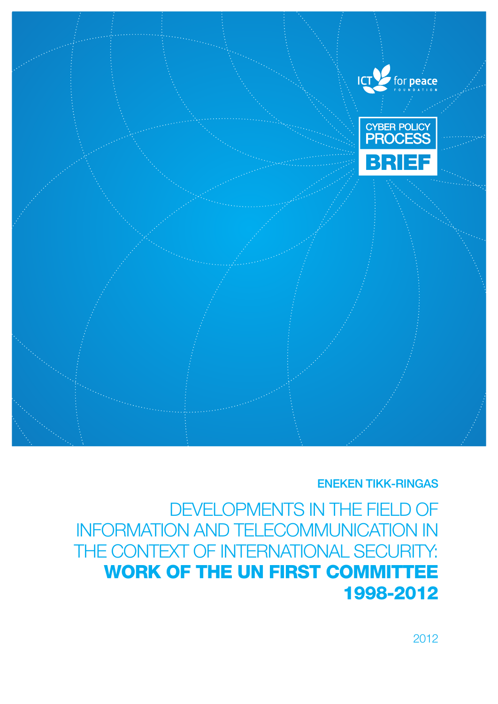

ENEKEN TIKK-RINGAS

DEVELOPMENTS IN THE FIELD OF Information and Telecommunication in THE CONTEXT OF INTERNATIONAL SECURITY: WORK OF THE UN FIRST COMMITTEE 1998-2012

2012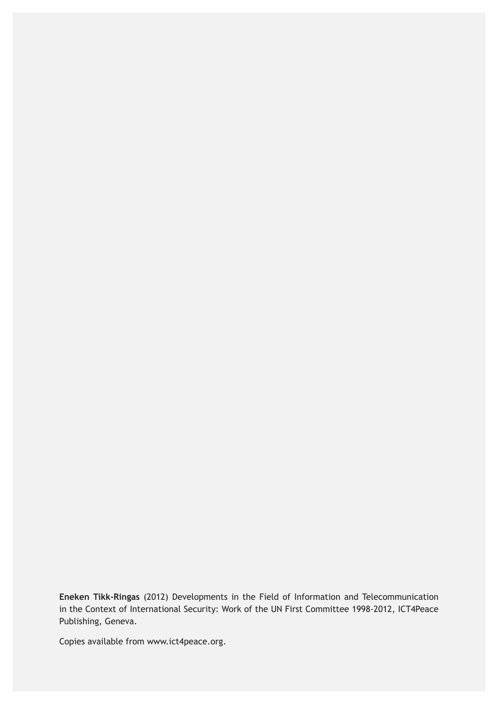**Eneken Tikk-Ringas** (2012) Developments in the Field of Information and Telecommunication in the Context of International Security: Work of the UN First Committee 1998-2012, ICT4Peace Publishing, Geneva.

Copies available from www.ict4peace.org.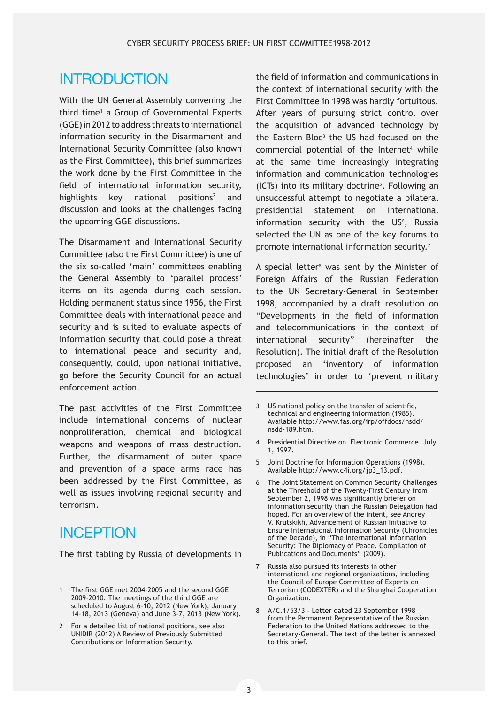#### **INTRODUCTION**

With the UN General Assembly convening the third time<sup>1</sup> a Group of Governmental Experts (GGE) in 2012 to address threats to international information security in the Disarmament and International Security Committee (also known as the First Committee), this brief summarizes the work done by the First Committee in the field of international information security, highlights key national positions<sup>2</sup> and discussion and looks at the challenges facing the upcoming GGE discussions.

The Disarmament and International Security Committee (also the First Committee) is one of the six so-called 'main' committees enabling the General Assembly to 'parallel process' items on its agenda during each session. Holding permanent status since 1956, the First Committee deals with international peace and security and is suited to evaluate aspects of information security that could pose a threat to international peace and security and, consequently, could, upon national initiative, go before the Security Council for an actual enforcement action.

The past activities of the First Committee include international concerns of nuclear nonproliferation, chemical and biological weapons and weapons of mass destruction. Further, the disarmament of outer space and prevention of a space arms race has been addressed by the First Committee, as well as issues involving regional security and terrorism.

#### **INCEPTION**

The first tabling by Russia of developments in

the field of information and communications in the context of international security with the First Committee in 1998 was hardly fortuitous. After years of pursuing strict control over the acquisition of advanced technology by the Eastern Bloc<sup>3</sup> the US had focused on the  $commercial$  potential of the Internet<sup>4</sup> while at the same time increasingly integrating information and communication technologies (ICTs) into its military doctrine<sup>5</sup> . Following an unsuccessful attempt to negotiate a bilateral presidential statement on international information security with the  $US<sup>6</sup>$ , Russia selected the UN as one of the key forums to promote international information security.<sup>7</sup>

A special letter<sup>8</sup> was sent by the Minister of Foreign Affairs of the Russian Federation to the UN Secretary-General in September 1998, accompanied by a draft resolution on "Developments in the field of information and telecommunications in the context of international security" (hereinafter the Resolution). The initial draft of the Resolution proposed an 'inventory of information technologies' in order to 'prevent military

- 4 Presidential Directive on Electronic Commerce. July 1, 1997.
- 5 Joint Doctrine for Information Operations (1998). Available http://www.c4i.org/jp3\_13.pdf.
- 6 The Joint Statement on Common Security Challenges at the Threshold of the Twenty-First Century from September 2, 1998 was significantly briefer on information security than the Russian Delegation had hoped. For an overview of the intent, see Andrey V. Krutskikh, Advancement of Russian Initiative to Ensure International Information Security (Chronicles of the Decade), in "The International Information Security: The Diplomacy of Peace. Compilation of Publications and Documents" (2009).
- 7 Russia also pursued its interests in other international and regional organizations, including the Council of Europe Committee of Experts on Terrorism (CODEXTER) and the Shanghai Cooperation Organization.
- 8 A/C.1/53/3 Letter dated 23 September 1998 from the Permanent Representative of the Russian Federation to the United Nations addressed to the Secretary-General. The text of the letter is annexed to this brief.

<sup>1</sup> The first GGE met 2004-2005 and the second GGE 2009-2010. The meetings of the third GGE are scheduled to August 6-10, 2012 (New York), January 14-18, 2013 (Geneva) and June 3-7, 2013 (New York).

<sup>2</sup> For a detailed list of national positions, see also UNIDIR (2012) A Review of Previously Submitted Contributions on Information Security.

<sup>3</sup> US national policy on the transfer of scientific, technical and engineering information (1985). Available http://www.fas.org/irp/offdocs/nsdd/ nsdd-189.htm.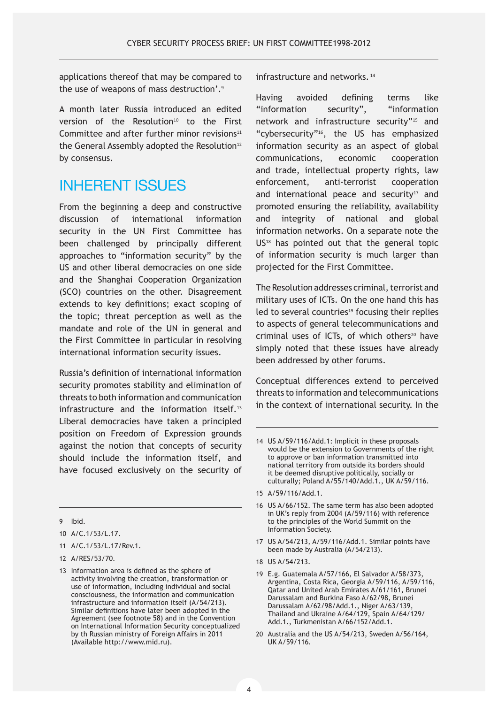applications thereof that may be compared to the use of weapons of mass destruction'.<sup>9</sup>

A month later Russia introduced an edited version of the Resolution<sup>10</sup> to the First Committee and after further minor revisions $11$ the General Assembly adopted the Resolution<sup>12</sup> by consensus.

### Inherent Issues

From the beginning a deep and constructive discussion of international information security in the UN First Committee has been challenged by principally different approaches to "information security" by the US and other liberal democracies on one side and the Shanghai Cooperation Organization (SCO) countries on the other. Disagreement extends to key definitions; exact scoping of the topic; threat perception as well as the mandate and role of the UN in general and the First Committee in particular in resolving international information security issues.

Russia's definition of international information security promotes stability and elimination of threats to both information and communication infrastructure and the information itself.<sup>13</sup> Liberal democracies have taken a principled position on Freedom of Expression grounds against the notion that concepts of security should include the information itself, and have focused exclusively on the security of

9 Ibid.

- 10 A/C.1/53/L.17.
- 11 A/C.1/53/L.17/Rev.1.
- 12 A/RES/53/70.
- 13 Information area is defined as the sphere of activity involving the creation, transformation or use of information, including individual and social consciousness, the information and communication infrastructure and information itself (A/54/213). Similar definitions have later been adopted in the Agreement (see footnote 58) and in the Convention on International Information Security conceptualized by th Russian ministry of Foreign Affairs in 2011 (Available http://www.mid.ru).

infrastructure and networks.<sup>14</sup>

Having avoided defining terms like "information security", "information network and infrastructure security"15 and "cybersecurity"16, the US has emphasized information security as an aspect of global communications, economic cooperation and trade, intellectual property rights, law enforcement, anti-terrorist cooperation and international peace and security $17$  and promoted ensuring the reliability, availability and integrity of national and global information networks. On a separate note the US18 has pointed out that the general topic of information security is much larger than projected for the First Committee.

The Resolution addresses criminal, terrorist and military uses of ICTs. On the one hand this has  $led$  to several countries<sup>19</sup> focusing their replies to aspects of general telecommunications and criminal uses of ICTs, of which others<sup>20</sup> have simply noted that these issues have already been addressed by other forums.

Conceptual differences extend to perceived threats to information and telecommunications in the context of international security. In the

- 16 US A/66/152. The same term has also been adopted in UK's reply from 2004 (A/59/116) with reference to the principles of the World Summit on the Information Society.
- 17 US A/54/213, A/59/116/Add.1. Similar points have been made by Australia (A/54/213).
- 18 US A/54/213.
- 19 E.g. Guatemala A/57/166, El Salvador A/58/373, Argentina, Costa Rica, Georgia A/59/116, A/59/116, Qatar and United Arab Emirates A/61/161, Brunei Darussalam and Burkina Faso A/62/98, Brunei Darussalam A/62/98/Add.1., Niger A/63/139, Thailand and Ukraine A/64/129, Spain A/64/129/ Add.1., Turkmenistan A/66/152/Add.1.
- 20 Australia and the US A/54/213, Sweden A/56/164, UK A/59/116.

<sup>14</sup> US A/59/116/Add.1: Implicit in these proposals would be the extension to Governments of the right to approve or ban information transmitted into national territory from outside its borders should it be deemed disruptive politically, socially or culturally; Poland A/55/140/Add.1., UK A/59/116.

<sup>15</sup> A/59/116/Add.1.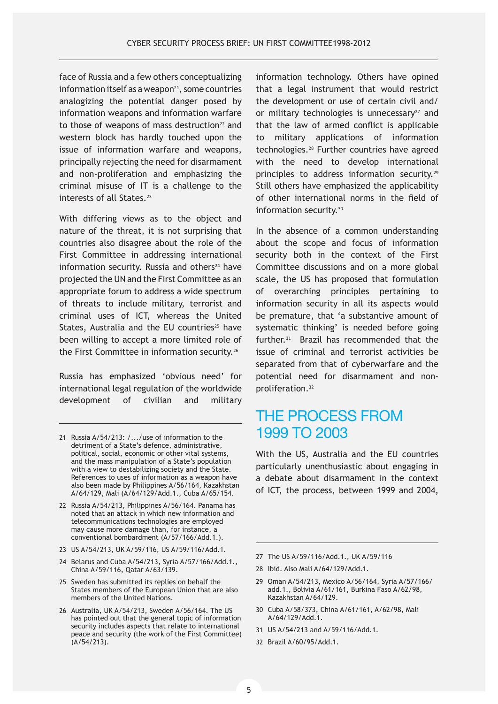face of Russia and a few others conceptualizing information itself as a weapon $21$ , some countries analogizing the potential danger posed by information weapons and information warfare to those of weapons of mass destruction<sup>22</sup> and western block has hardly touched upon the issue of information warfare and weapons, principally rejecting the need for disarmament and non-proliferation and emphasizing the criminal misuse of IT is a challenge to the interests of all States.<sup>23</sup>

With differing views as to the object and nature of the threat, it is not surprising that countries also disagree about the role of the First Committee in addressing international information security. Russia and others<sup>24</sup> have projected the UN and the First Committee as an appropriate forum to address a wide spectrum of threats to include military, terrorist and criminal uses of ICT, whereas the United States, Australia and the EU countries<sup>25</sup> have been willing to accept a more limited role of the First Committee in information security.<sup>26</sup>

Russia has emphasized 'obvious need' for international legal regulation of the worldwide development of civilian and military

- 21 Russia A/54/213: /.../use of information to the detriment of a State's defence, administrative, political, social, economic or other vital systems, and the mass manipulation of a State's population with a view to destabilizing society and the State. References to uses of information as a weapon have also been made by Philippines A/56/164, Kazakhstan A/64/129, Mali (A/64/129/Add.1., Cuba A/65/154.
- 22 Russia A/54/213, Philippines A/56/164. Panama has noted that an attack in which new information and telecommunications technologies are employed may cause more damage than, for instance, a conventional bombardment (A/57/166/Add.1.).
- 23 US A/54/213, UK A/59/116, US A/59/116/Add.1.
- 24 Belarus and Cuba A/54/213, Syria A/57/166/Add.1., China A/59/116, Qatar A/63/139.
- 25 Sweden has submitted its replies on behalf the States members of the European Union that are also members of the United Nations.
- 26 Australia, UK A/54/213, Sweden A/56/164. The US has pointed out that the general topic of information security includes aspects that relate to international peace and security (the work of the First Committee) (A/54/213).

information technology. Others have opined that a legal instrument that would restrict the development or use of certain civil and/ or military technologies is unnecessary $27$  and that the law of armed conflict is applicable to military applications of information technologies.28 Further countries have agreed with the need to develop international principles to address information security.<sup>29</sup> Still others have emphasized the applicability of other international norms in the field of information security.<sup>30</sup>

In the absence of a common understanding about the scope and focus of information security both in the context of the First Committee discussions and on a more global scale, the US has proposed that formulation of overarching principles pertaining to information security in all its aspects would be premature, that 'a substantive amount of systematic thinking' is needed before going further.31 Brazil has recommended that the issue of criminal and terrorist activities be separated from that of cyberwarfare and the potential need for disarmament and nonproliferation.<sup>32</sup>

#### The Process from 1999 to 2003

With the US, Australia and the EU countries particularly unenthusiastic about engaging in a debate about disarmament in the context of ICT, the process, between 1999 and 2004,

- 27 The US A/59/116/Add.1., UK A/59/116
- 28 Ibid. Also Mali A/64/129/Add.1.
- 29 Oman A/54/213, Mexico A/56/164, Syria A/57/166/ add.1., Bolivia A/61/161, Burkina Faso A/62/98, Kazakhstan A/64/129.
- 30 Cuba A/58/373, China A/61/161, A/62/98, Mali A/64/129/Add.1.
- 31 US A/54/213 and A/59/116/Add.1.
- 32 Brazil A/60/95/Add.1.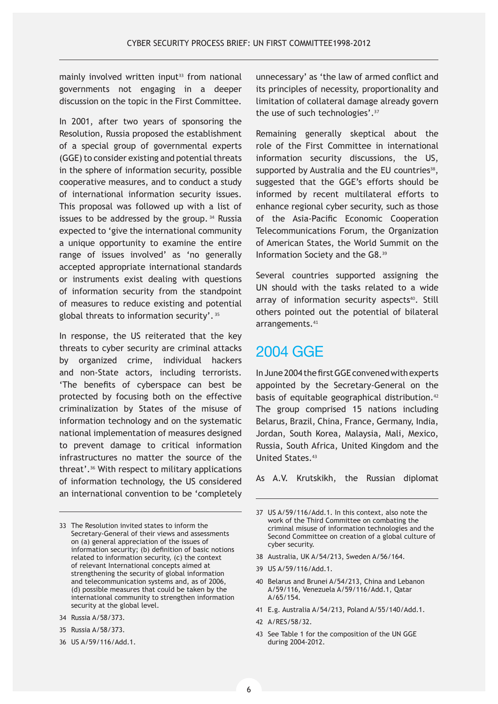mainly involved written input<sup>33</sup> from national governments not engaging in a deeper discussion on the topic in the First Committee.

In 2001, after two years of sponsoring the Resolution, Russia proposed the establishment of a special group of governmental experts (GGE) to consider existing and potential threats in the sphere of information security, possible cooperative measures, and to conduct a study of international information security issues. This proposal was followed up with a list of issues to be addressed by the group. 34 Russia expected to 'give the international community a unique opportunity to examine the entire range of issues involved' as 'no generally accepted appropriate international standards or instruments exist dealing with questions of information security from the standpoint of measures to reduce existing and potential global threats to information security'.<sup>35</sup>

In response, the US reiterated that the key threats to cyber security are criminal attacks by organized crime, individual hackers and non-State actors, including terrorists. 'The benefits of cyberspace can best be protected by focusing both on the effective criminalization by States of the misuse of information technology and on the systematic national implementation of measures designed to prevent damage to critical information infrastructures no matter the source of the threat'.36 With respect to military applications of information technology, the US considered an international convention to be 'completely

- 34 Russia A/58/373.
- 35 Russia A/58/373.
- 36 US A/59/116/Add.1.

unnecessary' as 'the law of armed conflict and its principles of necessity, proportionality and limitation of collateral damage already govern the use of such technologies'.<sup>37</sup>

Remaining generally skeptical about the role of the First Committee in international information security discussions, the US, supported by Australia and the EU countries<sup>38</sup>, suggested that the GGE's efforts should be informed by recent multilateral efforts to enhance regional cyber security, such as those of the Asia-Pacific Economic Cooperation Telecommunications Forum, the Organization of American States, the World Summit on the Information Society and the G8.<sup>39</sup>

Several countries supported assigning the UN should with the tasks related to a wide array of information security aspects<sup>40</sup>. Still others pointed out the potential of bilateral arrangements.<sup>41</sup>

#### 2004 GGE

In June 2004 the first GGE convened with experts appointed by the Secretary-General on the basis of equitable geographical distribution.<sup>42</sup> The group comprised 15 nations including Belarus, Brazil, China, France, Germany, India, Jordan, South Korea, Malaysia, Mali, Mexico, Russia, South Africa, United Kingdom and the United States.<sup>43</sup>

As A.V. Krutskikh, the Russian diplomat

- 38 Australia, UK A/54/213, Sweden A/56/164.
- 39 US A/59/116/Add.1.
- 40 Belarus and Brunei A/54/213, China and Lebanon A/59/116, Venezuela A/59/116/Add.1, Qatar A/65/154.
- 41 E.g. Australia A/54/213, Poland A/55/140/Add.1.
- 42 A/RES/58/32.
- 43 See Table 1 for the composition of the UN GGE during 2004-2012.

<sup>33</sup> The Resolution invited states to inform the Secretary-General of their views and assessments on (a) general appreciation of the issues of information security; (b) definition of basic notions related to information security, (c) the context of relevant International concepts aimed at strengthening the security of global information and telecommunication systems and, as of 2006, (d) possible measures that could be taken by the international community to strengthen information security at the global level.

<sup>37</sup> US A/59/116/Add.1. In this context, also note the work of the Third Committee on combating the criminal misuse of information technologies and the Second Committee on creation of a global culture of cyber security.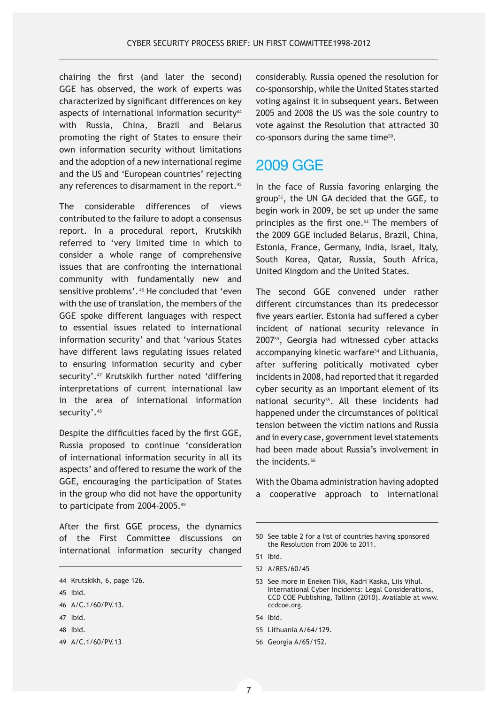chairing the first (and later the second) GGE has observed, the work of experts was characterized by significant differences on key aspects of international information security<sup>44</sup> with Russia, China, Brazil and Belarus promoting the right of States to ensure their own information security without limitations and the adoption of a new international regime and the US and 'European countries' rejecting any references to disarmament in the report.<sup>45</sup>

The considerable differences of views contributed to the failure to adopt a consensus report. In a procedural report, Krutskikh referred to 'very limited time in which to consider a whole range of comprehensive issues that are confronting the international community with fundamentally new and sensitive problems'. 46 He concluded that 'even with the use of translation, the members of the GGE spoke different languages with respect to essential issues related to international information security' and that 'various States have different laws regulating issues related to ensuring information security and cyber security'.47 Krutskikh further noted 'differing interpretations of current international law in the area of international information security'.<sup>48</sup>

Despite the difficulties faced by the first GGE, Russia proposed to continue 'consideration of international information security in all its aspects' and offered to resume the work of the GGE, encouraging the participation of States in the group who did not have the opportunity to participate from 2004-2005.<sup>49</sup>

After the first GGE process, the dynamics of the First Committee discussions on international information security changed

- 47 Ibid.
- 48 Ibid.

considerably. Russia opened the resolution for co-sponsorship, while the United States started voting against it in subsequent years. Between 2005 and 2008 the US was the sole country to vote against the Resolution that attracted 30 co-sponsors during the same time50.

#### 2009 GGE

In the face of Russia favoring enlarging the group51, the UN GA decided that the GGE, to begin work in 2009, be set up under the same principles as the first one.<sup>52</sup> The members of the 2009 GGE included Belarus, Brazil, China, Estonia, France, Germany, India, Israel, Italy, South Korea, Qatar, Russia, South Africa, United Kingdom and the United States.

The second GGE convened under rather different circumstances than its predecessor five years earlier. Estonia had suffered a cyber incident of national security relevance in 200753, Georgia had witnessed cyber attacks accompanying kinetic warfare<sup>54</sup> and Lithuania, after suffering politically motivated cyber incidents in 2008, had reported that it regarded cyber security as an important element of its national security<sup>55</sup>. All these incidents had happened under the circumstances of political tension between the victim nations and Russia and in every case, government level statements had been made about Russia's involvement in the incidents.<sup>56</sup>

With the Obama administration having adopted a cooperative approach to international

- 54 Ibid.
- 55 Lithuania A/64/129.
- 56 Georgia A/65/152.

<sup>44</sup> Krutskikh, 6, page 126.

<sup>45</sup> Ibid.

<sup>46</sup> A/C.1/60/PV.13.

<sup>49</sup> A/C.1/60/PV.13

<sup>50</sup> See table 2 for a list of countries having sponsored the Resolution from 2006 to 2011.

<sup>51</sup> Ibid.

<sup>52</sup> A/RES/60/45

<sup>53</sup> See more in Eneken Tikk, Kadri Kaska, Liis Vihul. International Cyber Incidents: Legal Considerations, CCD COE Publishing, Tallinn (2010). Available at www. ccdcoe.org.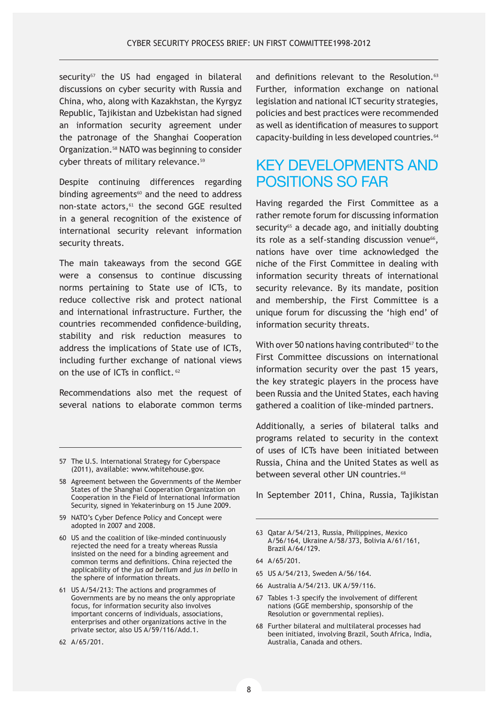$security<sup>57</sup>$  the US had engaged in bilateral discussions on cyber security with Russia and China, who, along with Kazakhstan, the Kyrgyz Republic, Tajikistan and Uzbekistan had signed an information security agreement under the patronage of the Shanghai Cooperation Organization.58 NATO was beginning to consider cyber threats of military relevance.<sup>59</sup>

Despite continuing differences regarding binding agreements $60$  and the need to address non-state actors,<sup>61</sup> the second GGE resulted in a general recognition of the existence of international security relevant information security threats.

The main takeaways from the second GGE were a consensus to continue discussing norms pertaining to State use of ICTs, to reduce collective risk and protect national and international infrastructure. Further, the countries recommended confidence-building, stability and risk reduction measures to address the implications of State use of ICTs, including further exchange of national views on the use of ICTs in conflict.<sup>62</sup>

Recommendations also met the request of several nations to elaborate common terms

- 57 The U.S. International Strategy for Cyberspace (2011), available: www.whitehouse.gov.
- 58 Agreement between the Governments of the Member States of the Shanghai Cooperation Organization on Cooperation in the Field of International Information Security, signed in Yekaterinburg on 15 June 2009.
- 59 NATO's Cyber Defence Policy and Concept were adopted in 2007 and 2008.
- 60 US and the coalition of like-minded continuously rejected the need for a treaty whereas Russia insisted on the need for a binding agreement and common terms and definitions. China rejected the applicability of the *jus ad bellum* and *jus in bello* in the sphere of information threats.
- 61 US A/54/213: The actions and programmes of Governments are by no means the only appropriate focus, for information security also involves important concerns of individuals, associations, enterprises and other organizations active in the private sector, also US A/59/116/Add.1.

and definitions relevant to the Resolution.<sup>63</sup> Further, information exchange on national legislation and national ICT security strategies, policies and best practices were recommended as well as identification of measures to support capacity-building in less developed countries.<sup>64</sup>

### Key Developments and Positions So Far

Having regarded the First Committee as a rather remote forum for discussing information security<sup>65</sup> a decade ago, and initially doubting its role as a self-standing discussion venue<sup>66</sup>, nations have over time acknowledged the niche of the First Committee in dealing with information security threats of international security relevance. By its mandate, position and membership, the First Committee is a unique forum for discussing the 'high end' of information security threats.

With over 50 nations having contributed $67$  to the First Committee discussions on international information security over the past 15 years, the key strategic players in the process have been Russia and the United States, each having gathered a coalition of like-minded partners.

Additionally, a series of bilateral talks and programs related to security in the context of uses of ICTs have been initiated between Russia, China and the United States as well as between several other UN countries.<sup>68</sup>

In September 2011, China, Russia, Tajikistan

- 63 Qatar A/54/213, Russia, Philippines, Mexico A/56/164, Ukraine A/58/373, Bolivia A/61/161, Brazil A/64/129.
- 64 A/65/201.
- 65 US A/54/213, Sweden A/56/164.
- 66 Australia A/54/213. UK A/59/116.
- 67 Tables 1-3 specify the involvement of different nations (GGE membership, sponsorship of the Resolution or governmental replies).
- 68 Further bilateral and multilateral processes had been initiated, involving Brazil, South Africa, India, Australia, Canada and others.

<sup>62</sup> A/65/201.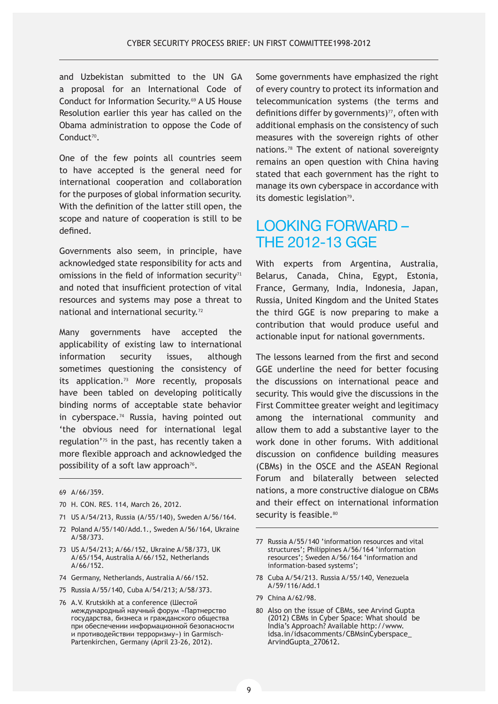and Uzbekistan submitted to the UN GA a proposal for an International Code of Conduct for Information Security.69 A US House Resolution earlier this year has called on the Obama administration to oppose the Code of Conduct<sup>70</sup>.

One of the few points all countries seem to have accepted is the general need for international cooperation and collaboration for the purposes of global information security. With the definition of the latter still open, the scope and nature of cooperation is still to be defined.

Governments also seem, in principle, have acknowledged state responsibility for acts and omissions in the field of information security $71$ and noted that insufficient protection of vital resources and systems may pose a threat to national and international security.<sup>72</sup>

Many governments have accepted the applicability of existing law to international information security issues, although sometimes questioning the consistency of its application.73 More recently, proposals have been tabled on developing politically binding norms of acceptable state behavior in cyberspace.<sup>74</sup> Russia, having pointed out 'the obvious need for international legal regulation'75 in the past, has recently taken a more flexible approach and acknowledged the possibility of a soft law approach<sup>76</sup>.

- 70 H. CON. RES. 114, March 26, 2012.
- 71 US A/54/213, Russia (A/55/140), Sweden A/56/164.
- 72 Poland A/55/140/Add.1., Sweden A/56/164, Ukraine A/58/373.
- 73 US A/54/213; A/66/152, Ukraine A/58/373, UK A/65/154, Australia A/66/152, Netherlands A/66/152.
- 74 Germany, Netherlands, Australia A/66/152.
- 75 Russia A/55/140, Cuba A/54/213; A/58/373.
- 76 A.V. Krutskikh at a conference (Шестой международный научный форум «Партнерство государства, бизнеса и гражданского общества при обеспечении информационной безопасности и противодействии терроризму») in Garmisch-Partenkirchen, Germany (April 23-26, 2012).

Some governments have emphasized the right of every country to protect its information and telecommunication systems (the terms and definitions differ by governments) $77$ , often with additional emphasis on the consistency of such measures with the sovereign rights of other nations.78 The extent of national sovereignty remains an open question with China having stated that each government has the right to manage its own cyberspace in accordance with its domestic legislation<sup>79</sup>.

#### Looking forward – the 2012-13 GGE

With experts from Argentina, Australia, Belarus, Canada, China, Egypt, Estonia, France, Germany, India, Indonesia, Japan, Russia, United Kingdom and the United States the third GGE is now preparing to make a contribution that would produce useful and actionable input for national governments.

The lessons learned from the first and second GGE underline the need for better focusing the discussions on international peace and security. This would give the discussions in the First Committee greater weight and legitimacy among the international community and allow them to add a substantive layer to the work done in other forums. With additional discussion on confidence building measures (CBMs) in the OSCE and the ASEAN Regional Forum and bilaterally between selected nations, a more constructive dialogue on CBMs and their effect on international information security is feasible.<sup>80</sup>

- 78 Cuba A/54/213. Russia A/55/140, Venezuela A/59/116/Add.1
- 79 China A/62/98.
- 80 Also on the issue of CBMs, see Arvind Gupta (2012) CBMs in Cyber Space: What should be India's Approach? Available http://www. idsa.in/idsacomments/CBMsinCyberspace\_ ArvindGupta\_270612.

<sup>69</sup> A/66/359.

<sup>77</sup> Russia A/55/140 'information resources and vital structures'; Philippines A/56/164 'information resources'; Sweden A/56/164 'information and information-based systems';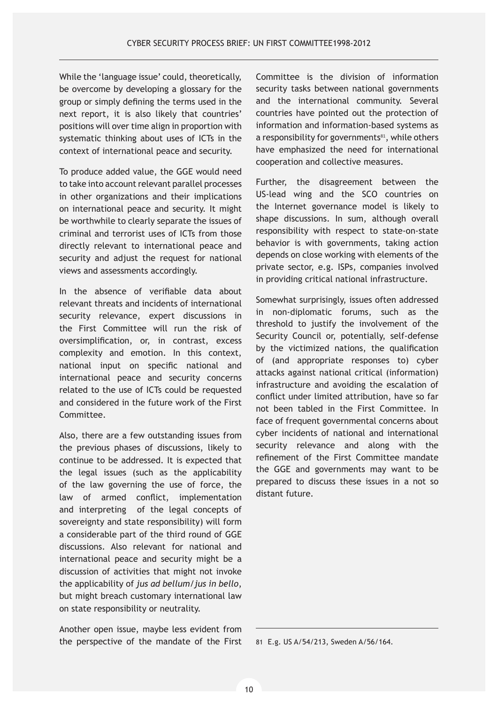While the 'language issue' could, theoretically, be overcome by developing a glossary for the group or simply defining the terms used in the next report, it is also likely that countries' positions will over time align in proportion with systematic thinking about uses of ICTs in the context of international peace and security.

To produce added value, the GGE would need to take into account relevant parallel processes in other organizations and their implications on international peace and security. It might be worthwhile to clearly separate the issues of criminal and terrorist uses of ICTs from those directly relevant to international peace and security and adjust the request for national views and assessments accordingly.

In the absence of verifiable data about relevant threats and incidents of international security relevance, expert discussions in the First Committee will run the risk of oversimplification, or, in contrast, excess complexity and emotion. In this context, national input on specific national and international peace and security concerns related to the use of ICTs could be requested and considered in the future work of the First Committee.

Also, there are a few outstanding issues from the previous phases of discussions, likely to continue to be addressed. It is expected that the legal issues (such as the applicability of the law governing the use of force, the law of armed conflict, implementation and interpreting of the legal concepts of sovereignty and state responsibility) will form a considerable part of the third round of GGE discussions. Also relevant for national and international peace and security might be a discussion of activities that might not invoke the applicability of *jus ad bellum/jus in bello*, but might breach customary international law on state responsibility or neutrality.

Another open issue, maybe less evident from the perspective of the mandate of the First Committee is the division of information security tasks between national governments and the international community. Several countries have pointed out the protection of information and information-based systems as a responsibility for governments<sup>81</sup>, while others have emphasized the need for international cooperation and collective measures.

Further, the disagreement between the US-lead wing and the SCO countries on the Internet governance model is likely to shape discussions. In sum, although overall responsibility with respect to state-on-state behavior is with governments, taking action depends on close working with elements of the private sector, e.g. ISPs, companies involved in providing critical national infrastructure.

Somewhat surprisingly, issues often addressed in non-diplomatic forums, such as the threshold to justify the involvement of the Security Council or, potentially, self-defense by the victimized nations, the qualification of (and appropriate responses to) cyber attacks against national critical (information) infrastructure and avoiding the escalation of conflict under limited attribution, have so far not been tabled in the First Committee. In face of frequent governmental concerns about cyber incidents of national and international security relevance and along with the refinement of the First Committee mandate the GGE and governments may want to be prepared to discuss these issues in a not so distant future.

<sup>81</sup> E.g. US A/54/213, Sweden A/56/164.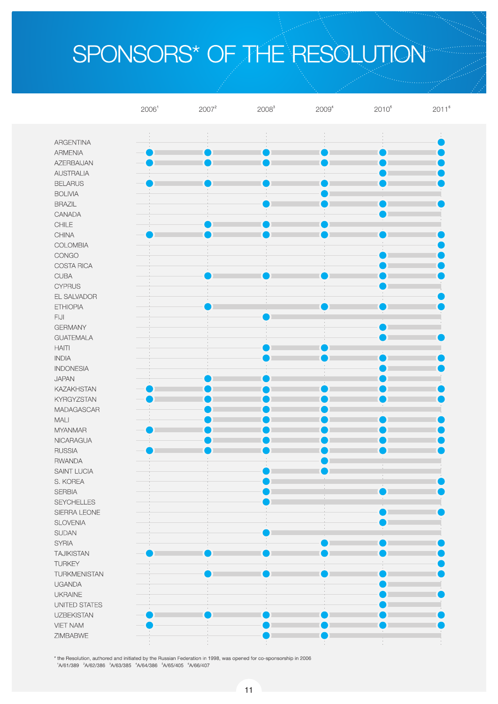# SPONSORS\* OF THE RESOLUTION

|                             | 2006 <sup>1</sup> | $2007^2$ | $2008^{3}$ | 2009 <sup>4</sup> | $2010^{5}$      | $2011^6$      |
|-----------------------------|-------------------|----------|------------|-------------------|-----------------|---------------|
|                             |                   |          |            |                   |                 |               |
| <b>ARGENTINA</b>            |                   |          |            |                   |                 | $\frac{1}{2}$ |
| <b>ARMENIA</b>              |                   |          |            |                   |                 |               |
| AZERBAIJAN                  |                   |          |            |                   |                 |               |
| <b>AUSTRALIA</b>            |                   |          |            |                   |                 |               |
| <b>BELARUS</b>              |                   |          |            |                   |                 |               |
| <b>BOLIVIA</b>              |                   |          |            |                   |                 |               |
| <b>BRAZIL</b>               |                   |          |            |                   |                 |               |
| CANADA                      |                   |          |            |                   |                 |               |
| $\text{CHILE}$              |                   |          |            |                   |                 |               |
| CHINA                       |                   |          |            |                   |                 |               |
| COLOMBIA                    |                   |          |            |                   |                 |               |
| CONGO                       |                   |          |            |                   |                 |               |
| COSTA RICA                  |                   |          |            |                   |                 |               |
| <b>CUBA</b>                 |                   |          |            |                   |                 |               |
| <b>CYPRUS</b>               |                   |          |            |                   |                 |               |
| EL SALVADOR                 |                   |          |            |                   |                 |               |
| <b>ETHIOPIA</b>             |                   |          |            |                   |                 |               |
| $\mathsf{FLJI}$             |                   |          |            |                   |                 |               |
| <b>GERMANY</b>              |                   |          |            |                   |                 |               |
| <b>GUATEMALA</b>            |                   |          |            |                   |                 |               |
| <b>HAITI</b>                |                   |          |            |                   |                 |               |
| <b>INDIA</b>                |                   |          |            |                   |                 |               |
| <b>INDONESIA</b>            |                   |          |            |                   |                 |               |
| <b>JAPAN</b>                |                   |          |            |                   |                 |               |
| <b>KAZAKHSTAN</b>           |                   |          |            |                   |                 |               |
| <b>KYRGYZSTAN</b>           |                   |          |            |                   |                 |               |
| MADAGASCAR                  |                   |          |            |                   |                 |               |
| $\ensuremath{\mathsf{MAL}}$ |                   |          |            |                   |                 |               |
| <b>MYANMAR</b>              |                   |          |            |                   |                 |               |
| NICARAGUA                   |                   |          |            |                   |                 |               |
| <b>RUSSIA</b>               |                   |          |            |                   |                 |               |
| <b>RWANDA</b>               |                   |          |            |                   |                 |               |
| SAINT LUCIA<br>S. KOREA     |                   |          |            |                   |                 |               |
| <b>SERBIA</b>               |                   |          |            |                   | $\qquad \qquad$ |               |
| <b>SEYCHELLES</b>           |                   |          |            |                   |                 |               |
| SIERRA LEONE                |                   |          |            |                   |                 |               |
| <b>SLOVENIA</b>             |                   |          |            |                   |                 |               |
| <b>SUDAN</b>                |                   |          |            |                   |                 |               |
| <b>SYRIA</b>                |                   |          |            |                   |                 |               |
| <b>TAJIKISTAN</b>           |                   |          |            |                   |                 |               |
| <b>TURKEY</b>               |                   |          |            |                   |                 |               |
| <b>TURKMENISTAN</b>         |                   |          |            |                   |                 |               |
| <b>UGANDA</b>               |                   |          |            |                   |                 |               |
| <b>UKRAINE</b>              |                   |          |            |                   |                 |               |
| UNITED STATES               |                   |          |            |                   |                 |               |
| <b>UZBEKISTAN</b>           |                   |          |            |                   |                 |               |
| <b>VIET NAM</b>             |                   |          |            |                   |                 |               |
| ZIMBABWE                    |                   |          |            |                   |                 |               |
|                             |                   |          |            |                   |                 |               |

\* the Resolution, authored and initiated by the Russian Federation in 1998, was opened for co-sponsorship in 2006<br>'A/61/389  $~^{2}$ A/62/386  $~^{3}$ A/63/385  $~^{4}$ A/64/386  $~^{5}$ A/66/407  $~^{6}$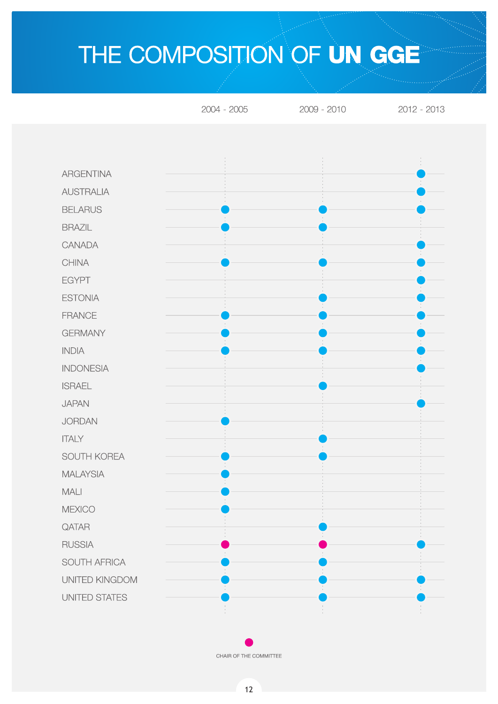## THE COMPOSITION OF UN GGE



CHAIR OF THE COMMITTEE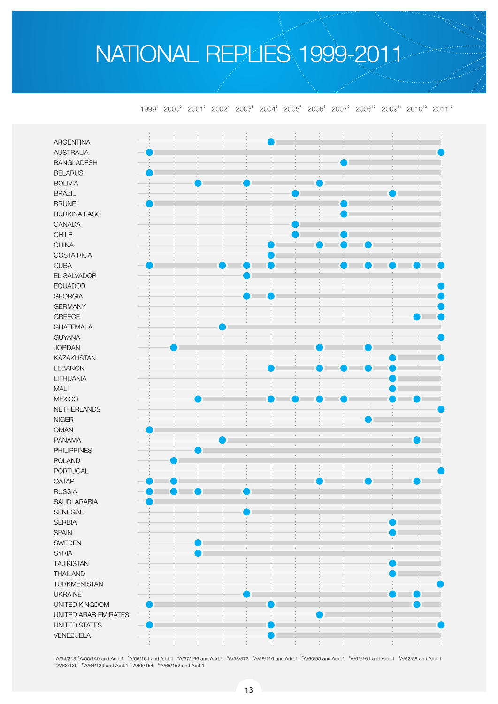## NATIONAL REPLIES 1999-2011

1999<sup>1</sup> 2000<sup>2</sup> 2001<sup>3</sup> 2002<sup>4</sup> 2003<sup>5</sup> 2004<sup>6</sup> 2005<sup>7</sup> 2006<sup>8</sup> 2007<sup>9</sup> 2008<sup>10</sup> 2009<sup>11</sup> 2010<sup>12</sup> 2011<sup>13</sup>

Ĵ. **ARGENTINA AUSTRALIA BANGLADESH BELARUS BOLIVIA BRAZIL BRUNEI BURKINA FASO** CANADA CHILE CHINA **COSTA RICA CUBA** EL SALVADOR **EQUADOR GEORGIA GERMANY GREECE GUATEMALA GUYANA JORDAN KAZAKHSTAN LEBANON** LITHUANIA MALI **MEXICO NETHERLANDS NIGER OMAN PANAMA PHILIPPINES POLAND** PORTUGAL QATAR **RUSSIA SAUDI ARABIA** SENEGAL **SERBIA SPAIN SWEDEN SYRIA TAJIKISTAN THAILAND TURKMENISTAN UKRAINE** UNITED KINGDOM UNITED ARAB EMIRATES **UNITED STATES** VENEZUELA ÷

1A/54/213 <sup>2</sup>A/55/140 and Add.1 <sup>3</sup>A/56/164 and Add.1 <sup>4</sup>A/57/166 and Add.1 <sup>5</sup>A/58/373 <sup>6</sup>A/59/116 and Add.1 <sup>7</sup>A/60/95 and Add.1 <sup>8</sup>A/61/161 and Add.1 <sup>8</sup>A/62/98 and Add.1  $10^{10}$ A/63/139  $11^{11}$ A/64/129 and Add.1  $12^{12}$ A/65/154  $13^{13}$ A/66/152 and Add.1